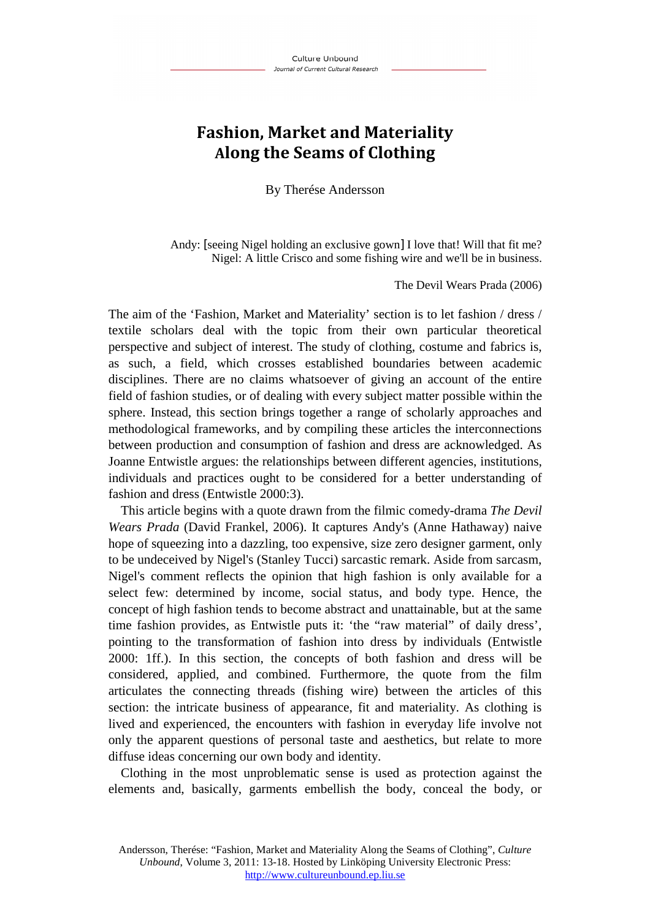## **Fashion, Market and Materiality Along the Seams of Clothing**

By Therése Andersson

Andy: [seeing Nigel holding an exclusive gown] I love that! Will that fit me? Nigel: A little Crisco and some fishing wire and we'll be in business.

The Devil Wears Prada (2006)

The aim of the 'Fashion, Market and Materiality' section is to let fashion / dress / textile scholars deal with the topic from their own particular theoretical perspective and subject of interest. The study of clothing, costume and fabrics is, as such, a field, which crosses established boundaries between academic disciplines. There are no claims whatsoever of giving an account of the entire field of fashion studies, or of dealing with every subject matter possible within the sphere. Instead, this section brings together a range of scholarly approaches and methodological frameworks, and by compiling these articles the interconnections between production and consumption of fashion and dress are acknowledged. As Joanne Entwistle argues: the relationships between different agencies, institutions, individuals and practices ought to be considered for a better understanding of fashion and dress (Entwistle 2000:3).

This article begins with a quote drawn from the filmic comedy-drama *The Devil Wears Prada* (David Frankel, 2006). It captures Andy's (Anne Hathaway) naive hope of squeezing into a dazzling, too expensive, size zero designer garment, only to be undeceived by Nigel's (Stanley Tucci) sarcastic remark. Aside from sarcasm, Nigel's comment reflects the opinion that high fashion is only available for a select few: determined by income, social status, and body type. Hence, the concept of high fashion tends to become abstract and unattainable, but at the same time fashion provides, as Entwistle puts it: 'the "raw material" of daily dress', pointing to the transformation of fashion into dress by individuals (Entwistle 2000: 1ff.). In this section, the concepts of both fashion and dress will be considered, applied, and combined. Furthermore, the quote from the film articulates the connecting threads (fishing wire) between the articles of this section: the intricate business of appearance, fit and materiality. As clothing is lived and experienced, the encounters with fashion in everyday life involve not only the apparent questions of personal taste and aesthetics, but relate to more diffuse ideas concerning our own body and identity.

Clothing in the most unproblematic sense is used as protection against the elements and, basically, garments embellish the body, conceal the body, or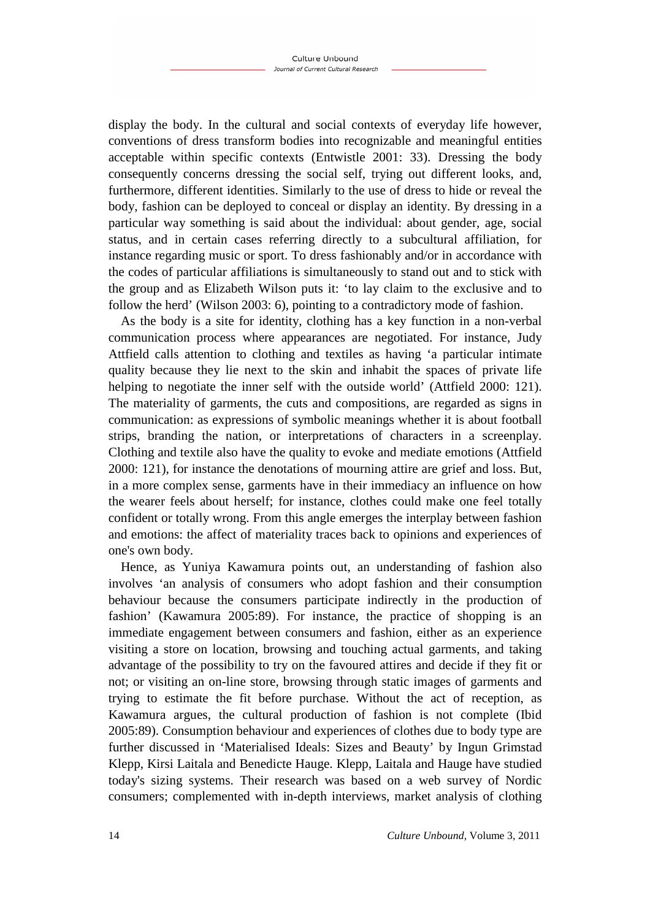display the body. In the cultural and social contexts of everyday life however, conventions of dress transform bodies into recognizable and meaningful entities acceptable within specific contexts (Entwistle 2001: 33). Dressing the body consequently concerns dressing the social self, trying out different looks, and, furthermore, different identities. Similarly to the use of dress to hide or reveal the body, fashion can be deployed to conceal or display an identity. By dressing in a particular way something is said about the individual: about gender, age, social status, and in certain cases referring directly to a subcultural affiliation, for instance regarding music or sport. To dress fashionably and/or in accordance with the codes of particular affiliations is simultaneously to stand out and to stick with the group and as Elizabeth Wilson puts it: 'to lay claim to the exclusive and to follow the herd' (Wilson 2003: 6), pointing to a contradictory mode of fashion.

As the body is a site for identity, clothing has a key function in a non-verbal communication process where appearances are negotiated. For instance, Judy Attfield calls attention to clothing and textiles as having 'a particular intimate quality because they lie next to the skin and inhabit the spaces of private life helping to negotiate the inner self with the outside world' (Attfield 2000: 121). The materiality of garments, the cuts and compositions, are regarded as signs in communication: as expressions of symbolic meanings whether it is about football strips, branding the nation, or interpretations of characters in a screenplay. Clothing and textile also have the quality to evoke and mediate emotions (Attfield 2000: 121), for instance the denotations of mourning attire are grief and loss. But, in a more complex sense, garments have in their immediacy an influence on how the wearer feels about herself; for instance, clothes could make one feel totally confident or totally wrong. From this angle emerges the interplay between fashion and emotions: the affect of materiality traces back to opinions and experiences of one's own body.

Hence, as Yuniya Kawamura points out, an understanding of fashion also involves 'an analysis of consumers who adopt fashion and their consumption behaviour because the consumers participate indirectly in the production of fashion' (Kawamura 2005:89). For instance, the practice of shopping is an immediate engagement between consumers and fashion, either as an experience visiting a store on location, browsing and touching actual garments, and taking advantage of the possibility to try on the favoured attires and decide if they fit or not; or visiting an on-line store, browsing through static images of garments and trying to estimate the fit before purchase. Without the act of reception, as Kawamura argues, the cultural production of fashion is not complete (Ibid 2005:89). Consumption behaviour and experiences of clothes due to body type are further discussed in 'Materialised Ideals: Sizes and Beauty' by Ingun Grimstad Klepp, Kirsi Laitala and Benedicte Hauge. Klepp, Laitala and Hauge have studied today's sizing systems. Their research was based on a web survey of Nordic consumers; complemented with in-depth interviews, market analysis of clothing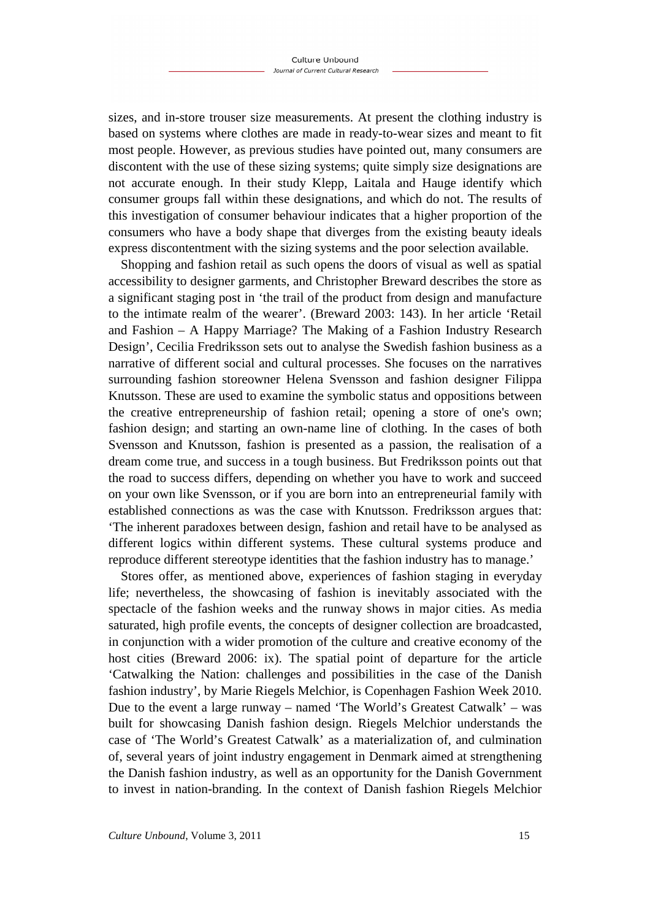sizes, and in-store trouser size measurements. At present the clothing industry is based on systems where clothes are made in ready-to-wear sizes and meant to fit most people. However, as previous studies have pointed out, many consumers are discontent with the use of these sizing systems; quite simply size designations are not accurate enough. In their study Klepp, Laitala and Hauge identify which consumer groups fall within these designations, and which do not. The results of this investigation of consumer behaviour indicates that a higher proportion of the consumers who have a body shape that diverges from the existing beauty ideals express discontentment with the sizing systems and the poor selection available.

Shopping and fashion retail as such opens the doors of visual as well as spatial accessibility to designer garments, and Christopher Breward describes the store as a significant staging post in 'the trail of the product from design and manufacture to the intimate realm of the wearer'. (Breward 2003: 143). In her article 'Retail and Fashion – A Happy Marriage? The Making of a Fashion Industry Research Design', Cecilia Fredriksson sets out to analyse the Swedish fashion business as a narrative of different social and cultural processes. She focuses on the narratives surrounding fashion storeowner Helena Svensson and fashion designer Filippa Knutsson. These are used to examine the symbolic status and oppositions between the creative entrepreneurship of fashion retail; opening a store of one's own; fashion design; and starting an own-name line of clothing. In the cases of both Svensson and Knutsson, fashion is presented as a passion, the realisation of a dream come true, and success in a tough business. But Fredriksson points out that the road to success differs, depending on whether you have to work and succeed on your own like Svensson, or if you are born into an entrepreneurial family with established connections as was the case with Knutsson. Fredriksson argues that: 'The inherent paradoxes between design, fashion and retail have to be analysed as different logics within different systems. These cultural systems produce and reproduce different stereotype identities that the fashion industry has to manage.'

Stores offer, as mentioned above, experiences of fashion staging in everyday life; nevertheless, the showcasing of fashion is inevitably associated with the spectacle of the fashion weeks and the runway shows in major cities. As media saturated, high profile events, the concepts of designer collection are broadcasted, in conjunction with a wider promotion of the culture and creative economy of the host cities (Breward 2006: ix). The spatial point of departure for the article 'Catwalking the Nation: challenges and possibilities in the case of the Danish fashion industry', by Marie Riegels Melchior, is Copenhagen Fashion Week 2010. Due to the event a large runway – named 'The World's Greatest Catwalk' – was built for showcasing Danish fashion design. Riegels Melchior understands the case of 'The World's Greatest Catwalk' as a materialization of, and culmination of, several years of joint industry engagement in Denmark aimed at strengthening the Danish fashion industry, as well as an opportunity for the Danish Government to invest in nation-branding. In the context of Danish fashion Riegels Melchior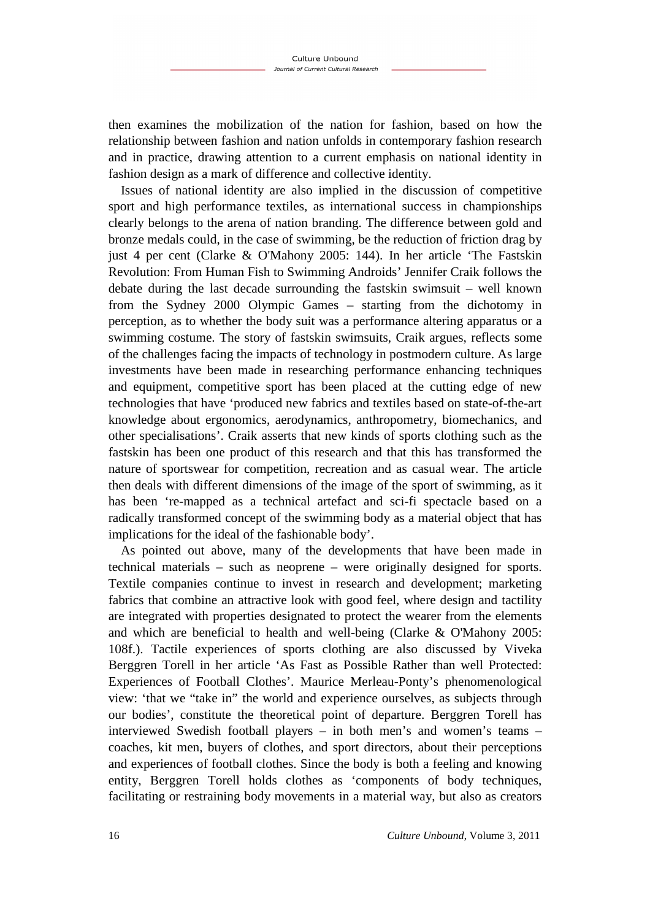then examines the mobilization of the nation for fashion, based on how the relationship between fashion and nation unfolds in contemporary fashion research and in practice, drawing attention to a current emphasis on national identity in fashion design as a mark of difference and collective identity.

Issues of national identity are also implied in the discussion of competitive sport and high performance textiles, as international success in championships clearly belongs to the arena of nation branding. The difference between gold and bronze medals could, in the case of swimming, be the reduction of friction drag by just 4 per cent (Clarke & O'Mahony 2005: 144). In her article 'The Fastskin Revolution: From Human Fish to Swimming Androids' Jennifer Craik follows the debate during the last decade surrounding the fastskin swimsuit – well known from the Sydney 2000 Olympic Games – starting from the dichotomy in perception, as to whether the body suit was a performance altering apparatus or a swimming costume. The story of fastskin swimsuits, Craik argues, reflects some of the challenges facing the impacts of technology in postmodern culture. As large investments have been made in researching performance enhancing techniques and equipment, competitive sport has been placed at the cutting edge of new technologies that have 'produced new fabrics and textiles based on state-of-the-art knowledge about ergonomics, aerodynamics, anthropometry, biomechanics, and other specialisations'. Craik asserts that new kinds of sports clothing such as the fastskin has been one product of this research and that this has transformed the nature of sportswear for competition, recreation and as casual wear. The article then deals with different dimensions of the image of the sport of swimming, as it has been 're-mapped as a technical artefact and sci-fi spectacle based on a radically transformed concept of the swimming body as a material object that has implications for the ideal of the fashionable body'.

As pointed out above, many of the developments that have been made in technical materials – such as neoprene – were originally designed for sports. Textile companies continue to invest in research and development; marketing fabrics that combine an attractive look with good feel, where design and tactility are integrated with properties designated to protect the wearer from the elements and which are beneficial to health and well-being (Clarke & O'Mahony 2005: 108f.). Tactile experiences of sports clothing are also discussed by Viveka Berggren Torell in her article 'As Fast as Possible Rather than well Protected: Experiences of Football Clothes'. Maurice Merleau-Ponty's phenomenological view: 'that we "take in" the world and experience ourselves, as subjects through our bodies', constitute the theoretical point of departure. Berggren Torell has interviewed Swedish football players – in both men's and women's teams – coaches, kit men, buyers of clothes, and sport directors, about their perceptions and experiences of football clothes. Since the body is both a feeling and knowing entity, Berggren Torell holds clothes as 'components of body techniques, facilitating or restraining body movements in a material way, but also as creators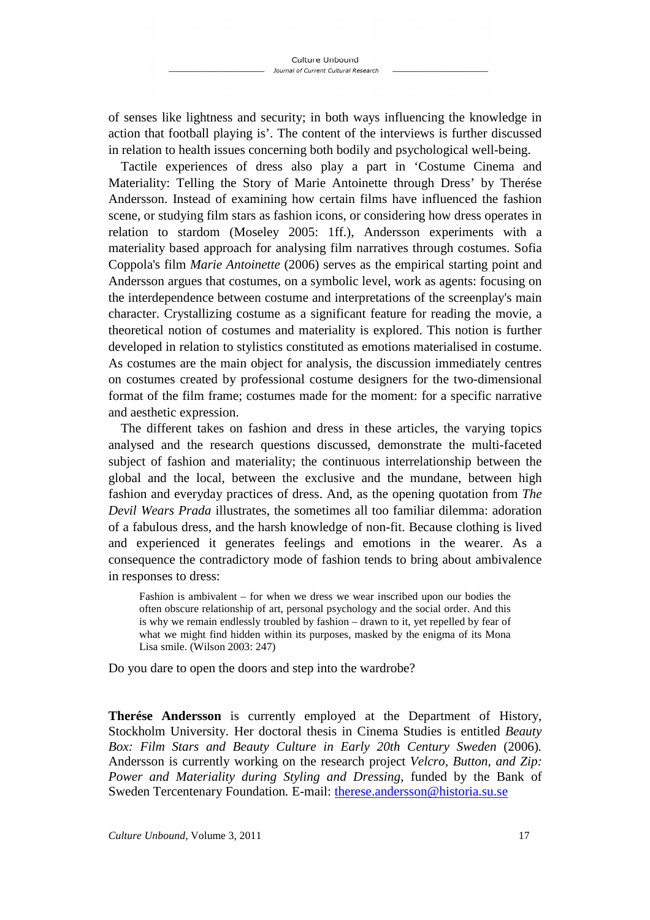of senses like lightness and security; in both ways influencing the knowledge in action that football playing is'. The content of the interviews is further discussed in relation to health issues concerning both bodily and psychological well-being.

Tactile experiences of dress also play a part in 'Costume Cinema and Materiality: Telling the Story of Marie Antoinette through Dress' by Therése Andersson. Instead of examining how certain films have influenced the fashion scene, or studying film stars as fashion icons, or considering how dress operates in relation to stardom (Moseley 2005: 1ff.), Andersson experiments with a materiality based approach for analysing film narratives through costumes. Sofia Coppola's film *Marie Antoinette* (2006) serves as the empirical starting point and Andersson argues that costumes, on a symbolic level, work as agents: focusing on the interdependence between costume and interpretations of the screenplay's main character. Crystallizing costume as a significant feature for reading the movie, a theoretical notion of costumes and materiality is explored. This notion is further developed in relation to stylistics constituted as emotions materialised in costume. As costumes are the main object for analysis, the discussion immediately centres on costumes created by professional costume designers for the two-dimensional format of the film frame; costumes made for the moment: for a specific narrative and aesthetic expression.

The different takes on fashion and dress in these articles, the varying topics analysed and the research questions discussed, demonstrate the multi-faceted subject of fashion and materiality; the continuous interrelationship between the global and the local, between the exclusive and the mundane, between high fashion and everyday practices of dress. And, as the opening quotation from *The Devil Wears Prada* illustrates, the sometimes all too familiar dilemma: adoration of a fabulous dress, and the harsh knowledge of non-fit. Because clothing is lived and experienced it generates feelings and emotions in the wearer. As a consequence the contradictory mode of fashion tends to bring about ambivalence in responses to dress:

Fashion is ambivalent – for when we dress we wear inscribed upon our bodies the often obscure relationship of art, personal psychology and the social order. And this is why we remain endlessly troubled by fashion – drawn to it, yet repelled by fear of what we might find hidden within its purposes, masked by the enigma of its Mona Lisa smile. (Wilson 2003: 247)

Do you dare to open the doors and step into the wardrobe?

**Therése Andersson** is currently employed at the Department of History, Stockholm University. Her doctoral thesis in Cinema Studies is entitled *Beauty Box: Film Stars and Beauty Culture in Early 20th Century Sweden (2006).* Andersson is currently working on the research project *Velcro, Button, and Zip: Power and Materiality during Styling and Dressing*, funded by the Bank of Sweden Tercentenary Foundation*.* E-mail: therese.andersson@historia.su.se